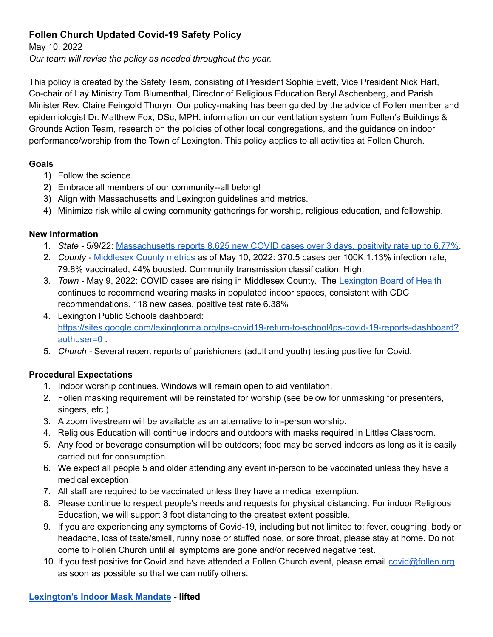# **Follen Church Updated Covid-19 Safety Policy**

May 10, 2022

*Our team will revise the policy as needed throughout the year.*

This policy is created by the Safety Team, consisting of President Sophie Evett, Vice President Nick Hart, Co-chair of Lay Ministry Tom Blumenthal, Director of Religious Education Beryl Aschenberg, and Parish Minister Rev. Claire Feingold Thoryn. Our policy-making has been guided by the advice of Follen member and epidemiologist Dr. Matthew Fox, DSc, MPH, information on our ventilation system from Follen's Buildings & Grounds Action Team, research on the policies of other local congregations, and the guidance on indoor performance/worship from the Town of Lexington. This policy applies to all activities at Follen Church.

## **Goals**

- 1) Follow the science.
- 2) Embrace all members of our community--all belong!
- 3) Align with Massachusetts and Lexington guidelines and metrics.
- 4) Minimize risk while allowing community gatherings for worship, religious education, and fellowship.

## **New Information**

- 1. *State -* 5/9/22: [Massachusetts](https://boston.cbslocal.com/2022/05/09/massachusetts-reports-8625-new-covid-cases-over-3-days-positivity-rate-up-to-6-77/) reports 8,625 new COVID cases over 3 days, positivity rate up to 6.77%.
- 2. *County -* [Middlesex](https://covidactnow.org/us/massachusetts-ma/county/middlesex_county/?s=23871299) County metrics as of May 10, 2022: 370.5 cases per 100K,1.13% infection rate, 79.8% vaccinated, 44% boosted. Community transmission classification: High.
- 3. *Town -* May 9, 2022: COVID cases are rising in Middlesex County. The [Lexington](https://www.lexingtonma.gov/public-health/pages/covid-19-information-and-resources) Board of Health continues to recommend wearing masks in populated indoor spaces, consistent with CDC recommendations. 118 new cases, positive test rate 6.38%
- 4. Lexington Public Schools dashboard: [https://sites.google.com/lexingtonma.org/lps-covid19-return-to-school/lps-covid-19-reports-dashboard?](https://sites.google.com/lexingtonma.org/lps-covid19-return-to-school/lps-covid-19-reports-dashboard?authuser=0) [authuser=0](https://sites.google.com/lexingtonma.org/lps-covid19-return-to-school/lps-covid-19-reports-dashboard?authuser=0) .
- 5. *Church -* Several recent reports of parishioners (adult and youth) testing positive for Covid.

# **Procedural Expectations**

- 1. Indoor worship continues. Windows will remain open to aid ventilation.
- 2. Follen masking requirement will be reinstated for worship (see below for unmasking for presenters, singers, etc.)
- 3. A zoom livestream will be available as an alternative to in-person worship.
- 4. Religious Education will continue indoors and outdoors with masks required in Littles Classroom.
- 5. Any food or beverage consumption will be outdoors; food may be served indoors as long as it is easily carried out for consumption.
- 6. We expect all people 5 and older attending any event in-person to be vaccinated unless they have a medical exception.
- 7. All staff are required to be vaccinated unless they have a medical exemption.
- 8. Please continue to respect people's needs and requests for physical distancing. For indoor Religious Education, we will support 3 foot distancing to the greatest extent possible.
- 9. If you are experiencing any symptoms of Covid-19, including but not limited to: fever, coughing, body or headache, loss of taste/smell, runny nose or stuffed nose, or sore throat, please stay at home. Do not come to Follen Church until all symptoms are gone and/or received negative test.
- 10. If you test positive for Covid and have attended a Follen Church event, please email [covid@follen.org](mailto:covid@follen.org) as soon as possible so that we can notify others.

#### **[Lexington's](https://www.lexingtonma.gov/sites/g/files/vyhlif7101/f/uploads/mask_mandate_exception_1_-_8-17-21.pdf) Indoor Mask Mandate - lifted**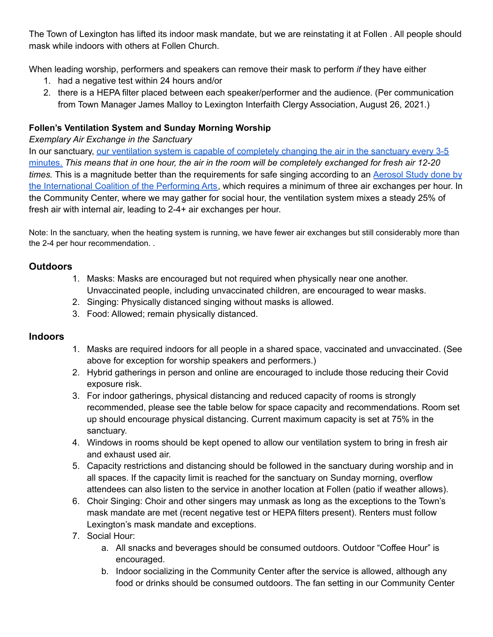The Town of Lexington has lifted its indoor mask mandate, but we are reinstating it at Follen . All people should mask while indoors with others at Follen Church.

When leading worship, performers and speakers can remove their mask to perform *if* they have either

- 1. had a negative test within 24 hours and/or
- 2. there is a HEPA filter placed between each speaker/performer and the audience. (Per communication from Town Manager James Malloy to Lexington Interfaith Clergy Association, August 26, 2021.)

## **Follen's Ventilation System and Sunday Morning Worship**

*Exemplary Air Exchange in the Sanctuary*

In our sanctuary, our ventilation system is capable of [completely](https://docs.google.com/document/d/1SwKi2o21UR95HY-oTUi_-qMeihJ8LoeX/edit?usp=sharing&ouid=111056933720206613348&rtpof=true&sd=true) changing the air in the sanctuary every 3-5 [minutes.](https://docs.google.com/document/d/1SwKi2o21UR95HY-oTUi_-qMeihJ8LoeX/edit?usp=sharing&ouid=111056933720206613348&rtpof=true&sd=true) This means that in one hour, the air in the room will be completely exchanged for fresh air 12-20 *times.* This is a magnitude better than the requirements for safe singing according to an [Aerosol](https://files.constantcontact.com/b4d082bd201/d73a38b4-4567-4ee8-a2cc-78dc67f8e40e.pdf) Study done by the [International](https://files.constantcontact.com/b4d082bd201/d73a38b4-4567-4ee8-a2cc-78dc67f8e40e.pdf) Coalition of the Performing Arts, which requires a minimum of three air exchanges per hour. In the Community Center, where we may gather for social hour, the ventilation system mixes a steady 25% of fresh air with internal air, leading to 2-4+ air exchanges per hour.

Note: In the sanctuary, when the heating system is running, we have fewer air exchanges but still considerably more than the 2-4 per hour recommendation. .

## **Outdoors**

- 1. Masks: Masks are encouraged but not required when physically near one another. Unvaccinated people, including unvaccinated children, are encouraged to wear masks.
- 2. Singing: Physically distanced singing without masks is allowed.
- 3. Food: Allowed; remain physically distanced.

# **Indoors**

- 1. Masks are required indoors for all people in a shared space, vaccinated and unvaccinated. (See above for exception for worship speakers and performers.)
- 2. Hybrid gatherings in person and online are encouraged to include those reducing their Covid exposure risk.
- 3. For indoor gatherings, physical distancing and reduced capacity of rooms is strongly recommended, please see the table below for space capacity and recommendations. Room set up should encourage physical distancing. Current maximum capacity is set at 75% in the sanctuary.
- 4. Windows in rooms should be kept opened to allow our ventilation system to bring in fresh air and exhaust used air.
- 5. Capacity restrictions and distancing should be followed in the sanctuary during worship and in all spaces. If the capacity limit is reached for the sanctuary on Sunday morning, overflow attendees can also listen to the service in another location at Follen (patio if weather allows).
- 6. Choir Singing: Choir and other singers may unmask as long as the exceptions to the Town's mask mandate are met (recent negative test or HEPA filters present). Renters must follow Lexington's mask mandate and exceptions.
- 7. Social Hour:
	- a. All snacks and beverages should be consumed outdoors. Outdoor "Coffee Hour" is encouraged.
	- b. Indoor socializing in the Community Center after the service is allowed, although any food or drinks should be consumed outdoors. The fan setting in our Community Center